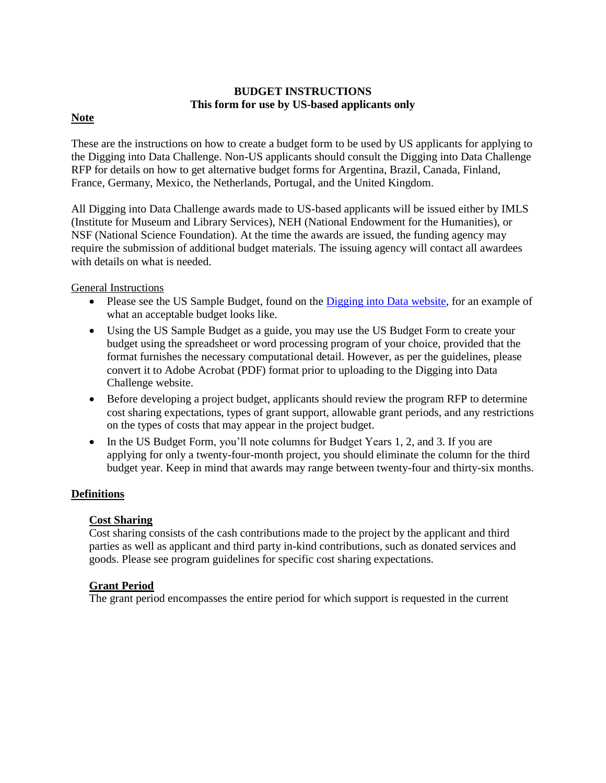## **BUDGET INSTRUCTIONS This form for use by US-based applicants only**

# **Note**

These are the instructions on how to create a budget form to be used by US applicants for applying to the Digging into Data Challenge. Non-US applicants should consult the Digging into Data Challenge RFP for details on how to get alternative budget forms for Argentina, Brazil, Canada, Finland, France, Germany, Mexico, the Netherlands, Portugal, and the United Kingdom.

All Digging into Data Challenge awards made to US-based applicants will be issued either by IMLS (Institute for Museum and Library Services), NEH (National Endowment for the Humanities), or NSF (National Science Foundation). At the time the awards are issued, the funding agency may require the submission of additional budget materials. The issuing agency will contact all awardees with details on what is needed.

General Instructions

- Please see the US Sample Budget, found on the [Digging into Data website,](http://www.diggingintodata.org/) for an example of what an acceptable budget looks like.
- Using the US Sample Budget as a guide, you may use the US Budget Form to create your budget using the spreadsheet or word processing program of your choice, provided that the format furnishes the necessary computational detail. However, as per the guidelines, please convert it to Adobe Acrobat (PDF) format prior to uploading to the Digging into Data Challenge website.
- Before developing a project budget, applicants should review the program RFP to determine cost sharing expectations, types of grant support, allowable grant periods, and any restrictions on the types of costs that may appear in the project budget.
- In the US Budget Form, you'll note columns for Budget Years 1, 2, and 3. If you are applying for only a twenty-four-month project, you should eliminate the column for the third budget year. Keep in mind that awards may range between twenty-four and thirty-six months.

## **Definitions**

## **Cost Sharing**

Cost sharing consists of the cash contributions made to the project by the applicant and third parties as well as applicant and third party in-kind contributions, such as donated services and goods. Please see program guidelines for specific cost sharing expectations.

## **Grant Period**

The grant period encompasses the entire period for which support is requested in the current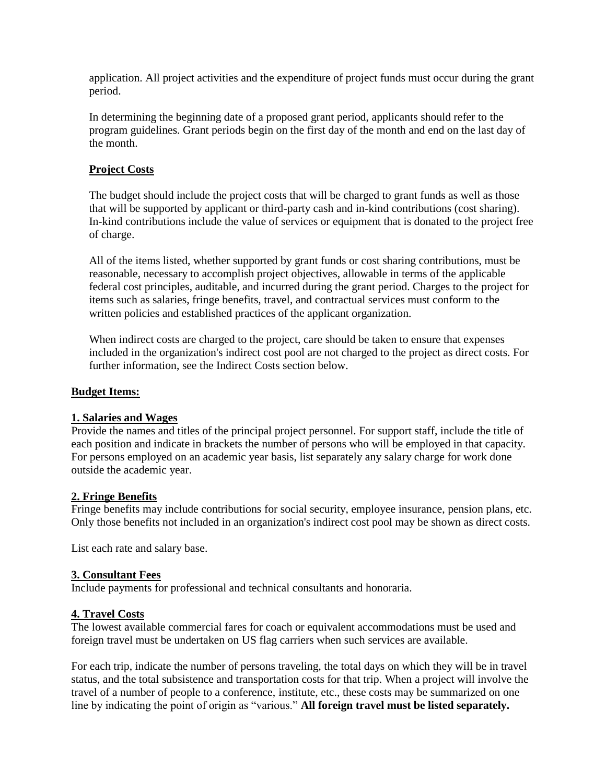application. All project activities and the expenditure of project funds must occur during the grant period.

In determining the beginning date of a proposed grant period, applicants should refer to the program guidelines. Grant periods begin on the first day of the month and end on the last day of the month.

## **Project Costs**

The budget should include the project costs that will be charged to grant funds as well as those that will be supported by applicant or third-party cash and in-kind contributions (cost sharing). In-kind contributions include the value of services or equipment that is donated to the project free of charge.

All of the items listed, whether supported by grant funds or cost sharing contributions, must be reasonable, necessary to accomplish project objectives, allowable in terms of the applicable federal cost principles, auditable, and incurred during the grant period. Charges to the project for items such as salaries, fringe benefits, travel, and contractual services must conform to the written policies and established practices of the applicant organization.

When indirect costs are charged to the project, care should be taken to ensure that expenses included in the organization's indirect cost pool are not charged to the project as direct costs. For further information, see the Indirect Costs section below.

#### **Budget Items:**

#### **1. Salaries and Wages**

Provide the names and titles of the principal project personnel. For support staff, include the title of each position and indicate in brackets the number of persons who will be employed in that capacity. For persons employed on an academic year basis, list separately any salary charge for work done outside the academic year.

#### **2. Fringe Benefits**

Fringe benefits may include contributions for social security, employee insurance, pension plans, etc. Only those benefits not included in an organization's indirect cost pool may be shown as direct costs.

List each rate and salary base.

#### **3. Consultant Fees**

Include payments for professional and technical consultants and honoraria.

#### **4. Travel Costs**

The lowest available commercial fares for coach or equivalent accommodations must be used and foreign travel must be undertaken on US flag carriers when such services are available.

For each trip, indicate the number of persons traveling, the total days on which they will be in travel status, and the total subsistence and transportation costs for that trip. When a project will involve the travel of a number of people to a conference, institute, etc., these costs may be summarized on one line by indicating the point of origin as "various." **All foreign travel must be listed separately.**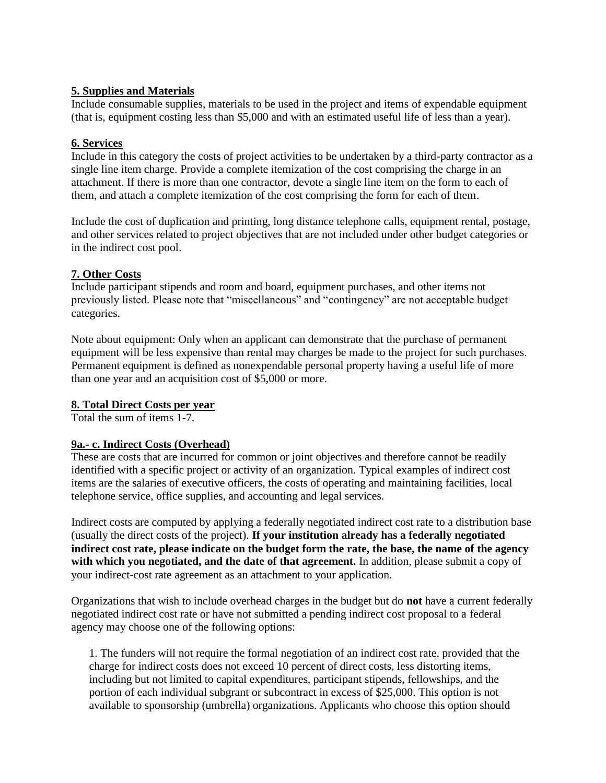# **5. Supplies and Materials**

Include consumable supplies, materials to be used in the project and items of expendable equipment (that is, equipment costing less than \$5,000 and with an estimated useful life of less than a year).

# **6. Services**

Include in this category the costs of project activities to be undertaken by a third-party contractor as a single line item charge. Provide a complete itemization of the cost comprising the charge in an attachment. If there is more than one contractor, devote a single line item on the form to each of them, and attach a complete itemization of the cost comprising the form for each of them.

Include the cost of duplication and printing, long distance telephone calls, equipment rental, postage, and other services related to project objectives that are not included under other budget categories or in the indirect cost pool.

# **7. Other Costs**

Include participant stipends and room and board, equipment purchases, and other items not previously listed. Please note that "miscellaneous" and "contingency" are not acceptable budget categories.

Note about equipment: Only when an applicant can demonstrate that the purchase of permanent equipment will be less expensive than rental may charges be made to the project for such purchases. Permanent equipment is defined as nonexpendable personal property having a useful life of more than one year and an acquisition cost of \$5,000 or more.

## **8. Total Direct Costs per year**

Total the sum of items 1-7.

## **9a.- c. Indirect Costs (Overhead)**

These are costs that are incurred for common or joint objectives and therefore cannot be readily identified with a specific project or activity of an organization. Typical examples of indirect cost items are the salaries of executive officers, the costs of operating and maintaining facilities, local telephone service, office supplies, and accounting and legal services.

Indirect costs are computed by applying a federally negotiated indirect cost rate to a distribution base (usually the direct costs of the project). **If your institution already has a federally negotiated indirect cost rate, please indicate on the budget form the rate, the base, the name of the agency with which you negotiated, and the date of that agreement.** In addition, please submit a copy of your indirect-cost rate agreement as an attachment to your application.

Organizations that wish to include overhead charges in the budget but do **not** have a current federally negotiated indirect cost rate or have not submitted a pending indirect cost proposal to a federal agency may choose one of the following options:

1. The funders will not require the formal negotiation of an indirect cost rate, provided that the charge for indirect costs does not exceed 10 percent of direct costs, less distorting items, including but not limited to capital expenditures, participant stipends, fellowships, and the portion of each individual subgrant or subcontract in excess of \$25,000. This option is not available to sponsorship (umbrella) organizations. Applicants who choose this option should